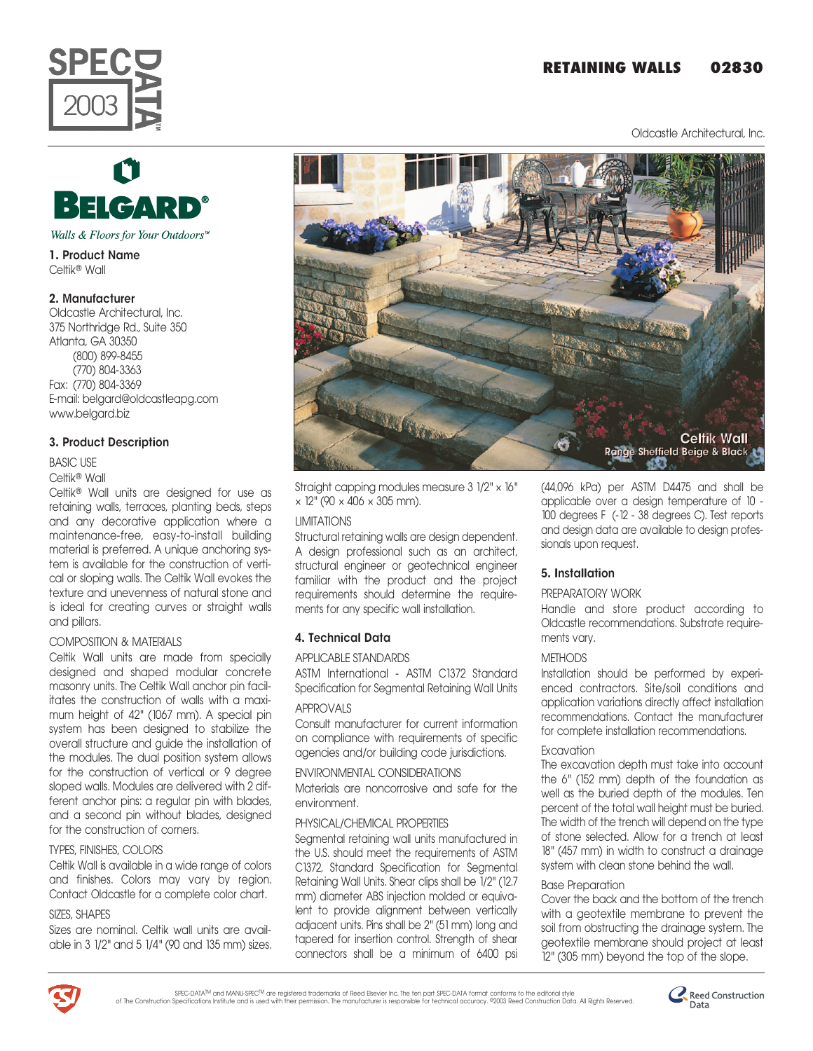# **RETAINING WALLS 02830**

Oldcastle Architectural, Inc.





Walls & Floors for Your Outdoors<sup>™</sup>

1. Product Name Celtikª Wall

## 2. Manufacturer

Oldcastle Architectural, Inc. 375 Northridge Rd., Suite 350 Atlanta, GA 30350 (800) 899-8455 (770) 804-3363 Fax: (770) 804-3369 E-mail: belgard@oldcastleapg.com www.belgard.biz

## 3. Product Description

#### BASIC USE

#### Celtikª Wall

Celtikª Wall units are designed for use as retaining walls, terraces, planting beds, steps and any decorative application where a maintenance-free, easy-to-install building material is preferred. A unique anchoring system is available for the construction of vertical or sloping walls. The Celtik Wall evokes the texture and unevenness of natural stone and is ideal for creating curves or straight walls and pillars.

## COMPOSITION & MATERIALS

Celtik Wall units are made from specially designed and shaped modular concrete masonry units. The Celtik Wall anchor pin facilitates the construction of walls with a maximum height of 42" (1067 mm). A special pin system has been designed to stabilize the overall structure and guide the installation of the modules. The dual position system allows for the construction of vertical or 9 degree sloped walls. Modules are delivered with 2 different anchor pins: a regular pin with blades, and a second pin without blades, designed for the construction of corners.

## TYPES, FINISHES, COLORS

Celtik Wall is available in a wide range of colors and finishes. Colors may vary by region. Contact Oldcastle for a complete color chart.

## SIZES, SHAPES

Sizes are nominal. Celtik wall units are available in 3 1/2" and 5 1/4" (90 and 135 mm) sizes.



Straight capping modules measure 3 1/2" × 16"  $\times$  12" (90  $\times$  406  $\times$  305 mm).

### LIMITATIONS

Structural retaining walls are design dependent. A design professional such as an architect, structural engineer or geotechnical engineer familiar with the product and the project requirements should determine the requirements for any specific wall installation.

## 4. Technical Data

#### APPLICABLE STANDARDS

ASTM International - ASTM C1372 Standard Specification for Segmental Retaining Wall Units

## APPROVALS

Consult manufacturer for current information on compliance with requirements of specific agencies and/or building code jurisdictions.

ENVIRONMENTAL CONSIDERATIONS

Materials are noncorrosive and safe for the environment.

## PHYSICAL/CHEMICAL PROPERTIES

Segmental retaining wall units manufactured in the U.S. should meet the requirements of ASTM C1372, Standard Specification for Segmental Retaining Wall Units. Shear clips shall be 1/2" (12.7 mm) diameter ABS injection molded or equivalent to provide alignment between vertically adjacent units. Pins shall be 2" (51 mm) long and tapered for insertion control. Strength of shear connectors shall be a minimum of 6400 psi

(44,096 kPa) per ASTM D4475 and shall be applicable over a design temperature of 10 - 100 degrees F (-12 - 38 degrees C). Test reports and design data are available to design professionals upon request.

## 5. Installation

## PREPARATORY WORK

Handle and store product according to Oldcastle recommendations. Substrate requirements vary.

## **METHODS**

Installation should be performed by experienced contractors. Site/soil conditions and application variations directly affect installation recommendations. Contact the manufacturer for complete installation recommendations.

## **Excavation**

The excavation depth must take into account the 6" (152 mm) depth of the foundation as well as the buried depth of the modules. Ten percent of the total wall height must be buried. The width of the trench will depend on the type of stone selected. Allow for a trench at least 18" (457 mm) in width to construct a drainage system with clean stone behind the wall.

## Base Preparation

Cover the back and the bottom of the trench with a geotextile membrane to prevent the soil from obstructing the drainage system. The geotextile membrane should project at least 12" (305 mm) beyond the top of the slope.



SPEC-DATA<sup>IM</sup> and MANU-SPEC<sup>IM</sup> are registered trademarks of Reed Esevier Inc. The ten part SPEC-DATA format conforms to the editorial style<br>Of The Construction Specifications Institute and is used with their permission. T